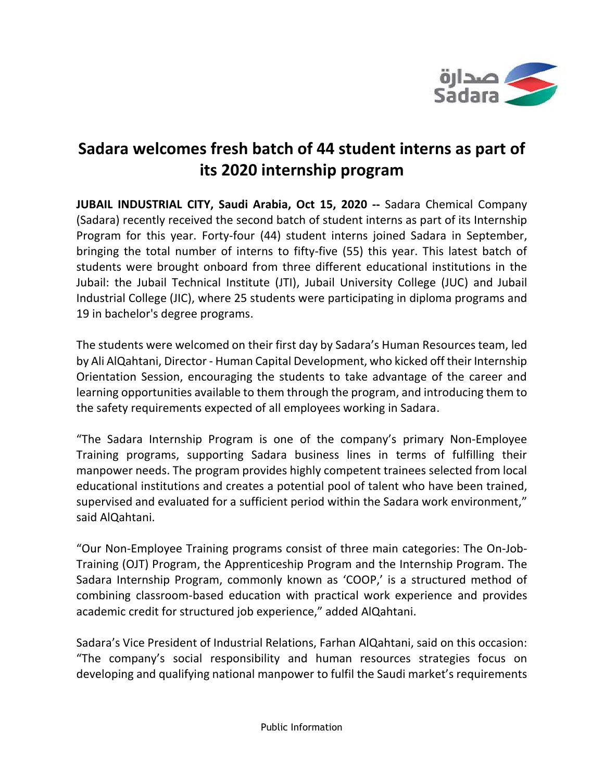

## **Sadara welcomes fresh batch of 44 student interns as part of its 2020 internship program**

**JUBAIL INDUSTRIAL CITY, Saudi Arabia, Oct 15, 2020 --** Sadara Chemical Company (Sadara) recently received the second batch of student interns as part of its Internship Program for this year. Forty-four (44) student interns joined Sadara in September, bringing the total number of interns to fifty-five (55) this year. This latest batch of students were brought onboard from three different educational institutions in the Jubail: the Jubail Technical Institute (JTI), Jubail University College (JUC) and Jubail Industrial College (JIC), where 25 students were participating in diploma programs and 19 in bachelor's degree programs.

The students were welcomed on their first day by Sadara's Human Resources team, led by Ali AlQahtani, Director - Human Capital Development, who kicked off their Internship Orientation Session, encouraging the students to take advantage of the career and learning opportunities available to them through the program, and introducing them to the safety requirements expected of all employees working in Sadara.

"The Sadara Internship Program is one of the company's primary Non-Employee Training programs, supporting Sadara business lines in terms of fulfilling their manpower needs. The program provides highly competent trainees selected from local educational institutions and creates a potential pool of talent who have been trained, supervised and evaluated for a sufficient period within the Sadara work environment," said AlQahtani.

"Our Non-Employee Training programs consist of three main categories: The On-Job-Training (OJT) Program, the Apprenticeship Program and the Internship Program. The Sadara Internship Program, commonly known as 'COOP,' is a structured method of combining classroom-based education with practical work experience and provides academic credit for structured job experience," added AlQahtani.

Sadara's Vice President of Industrial Relations, Farhan AlQahtani, said on this occasion: "The company's social responsibility and human resources strategies focus on developing and qualifying national manpower to fulfil the Saudi market's requirements